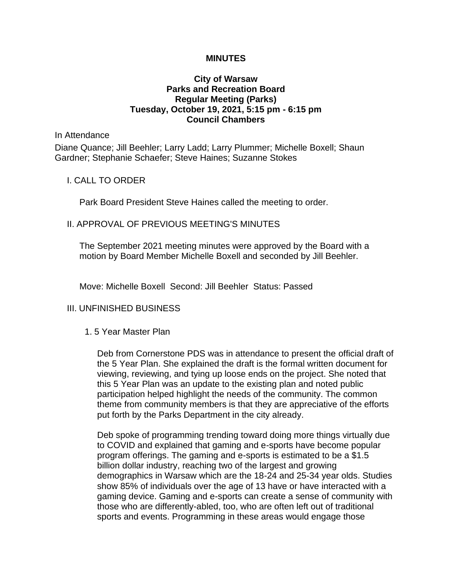## **MINUTES**

# **City of Warsaw Parks and Recreation Board Regular Meeting (Parks) Tuesday, October 19, 2021, 5:15 pm - 6:15 pm Council Chambers**

#### In Attendance

Diane Quance; Jill Beehler; Larry Ladd; Larry Plummer; Michelle Boxell; Shaun Gardner; Stephanie Schaefer; Steve Haines; Suzanne Stokes

## I. CALL TO ORDER

Park Board President Steve Haines called the meeting to order.

### II. APPROVAL OF PREVIOUS MEETING'S MINUTES

The September 2021 meeting minutes were approved by the Board with a motion by Board Member Michelle Boxell and seconded by Jill Beehler.

Move: Michelle Boxell Second: Jill Beehler Status: Passed

## III. UNFINISHED BUSINESS

#### 1. 5 Year Master Plan

Deb from Cornerstone PDS was in attendance to present the official draft of the 5 Year Plan. She explained the draft is the formal written document for viewing, reviewing, and tying up loose ends on the project. She noted that this 5 Year Plan was an update to the existing plan and noted public participation helped highlight the needs of the community. The common theme from community members is that they are appreciative of the efforts put forth by the Parks Department in the city already.

Deb spoke of programming trending toward doing more things virtually due to COVID and explained that gaming and e-sports have become popular program offerings. The gaming and e-sports is estimated to be a \$1.5 billion dollar industry, reaching two of the largest and growing demographics in Warsaw which are the 18-24 and 25-34 year olds. Studies show 85% of individuals over the age of 13 have or have interacted with a gaming device. Gaming and e-sports can create a sense of community with those who are differently-abled, too, who are often left out of traditional sports and events. Programming in these areas would engage those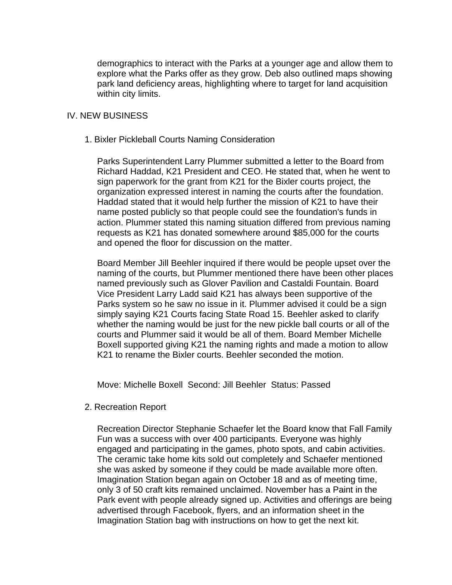demographics to interact with the Parks at a younger age and allow them to explore what the Parks offer as they grow. Deb also outlined maps showing park land deficiency areas, highlighting where to target for land acquisition within city limits.

## IV. NEW BUSINESS

#### 1. Bixler Pickleball Courts Naming Consideration

Parks Superintendent Larry Plummer submitted a letter to the Board from Richard Haddad, K21 President and CEO. He stated that, when he went to sign paperwork for the grant from K21 for the Bixler courts project, the organization expressed interest in naming the courts after the foundation. Haddad stated that it would help further the mission of K21 to have their name posted publicly so that people could see the foundation's funds in action. Plummer stated this naming situation differed from previous naming requests as K21 has donated somewhere around \$85,000 for the courts and opened the floor for discussion on the matter.

Board Member Jill Beehler inquired if there would be people upset over the naming of the courts, but Plummer mentioned there have been other places named previously such as Glover Pavilion and Castaldi Fountain. Board Vice President Larry Ladd said K21 has always been supportive of the Parks system so he saw no issue in it. Plummer advised it could be a sign simply saying K21 Courts facing State Road 15. Beehler asked to clarify whether the naming would be just for the new pickle ball courts or all of the courts and Plummer said it would be all of them. Board Member Michelle Boxell supported giving K21 the naming rights and made a motion to allow K21 to rename the Bixler courts. Beehler seconded the motion.

Move: Michelle Boxell Second: Jill Beehler Status: Passed

#### 2. Recreation Report

Recreation Director Stephanie Schaefer let the Board know that Fall Family Fun was a success with over 400 participants. Everyone was highly engaged and participating in the games, photo spots, and cabin activities. The ceramic take home kits sold out completely and Schaefer mentioned she was asked by someone if they could be made available more often. Imagination Station began again on October 18 and as of meeting time, only 3 of 50 craft kits remained unclaimed. November has a Paint in the Park event with people already signed up. Activities and offerings are being advertised through Facebook, flyers, and an information sheet in the Imagination Station bag with instructions on how to get the next kit.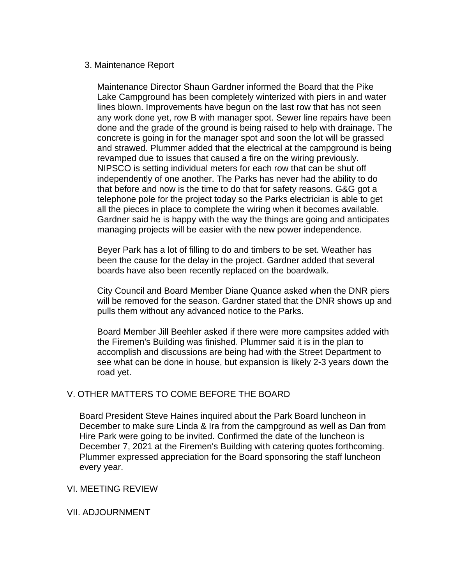# 3. Maintenance Report

Maintenance Director Shaun Gardner informed the Board that the Pike Lake Campground has been completely winterized with piers in and water lines blown. Improvements have begun on the last row that has not seen any work done yet, row B with manager spot. Sewer line repairs have been done and the grade of the ground is being raised to help with drainage. The concrete is going in for the manager spot and soon the lot will be grassed and strawed. Plummer added that the electrical at the campground is being revamped due to issues that caused a fire on the wiring previously. NIPSCO is setting individual meters for each row that can be shut off independently of one another. The Parks has never had the ability to do that before and now is the time to do that for safety reasons. G&G got a telephone pole for the project today so the Parks electrician is able to get all the pieces in place to complete the wiring when it becomes available. Gardner said he is happy with the way the things are going and anticipates managing projects will be easier with the new power independence.

Beyer Park has a lot of filling to do and timbers to be set. Weather has been the cause for the delay in the project. Gardner added that several boards have also been recently replaced on the boardwalk.

City Council and Board Member Diane Quance asked when the DNR piers will be removed for the season. Gardner stated that the DNR shows up and pulls them without any advanced notice to the Parks.

Board Member Jill Beehler asked if there were more campsites added with the Firemen's Building was finished. Plummer said it is in the plan to accomplish and discussions are being had with the Street Department to see what can be done in house, but expansion is likely 2-3 years down the road yet.

# V. OTHER MATTERS TO COME BEFORE THE BOARD

Board President Steve Haines inquired about the Park Board luncheon in December to make sure Linda & Ira from the campground as well as Dan from Hire Park were going to be invited. Confirmed the date of the luncheon is December 7, 2021 at the Firemen's Building with catering quotes forthcoming. Plummer expressed appreciation for the Board sponsoring the staff luncheon every year.

## VI. MEETING REVIEW

# VII. ADJOURNMENT